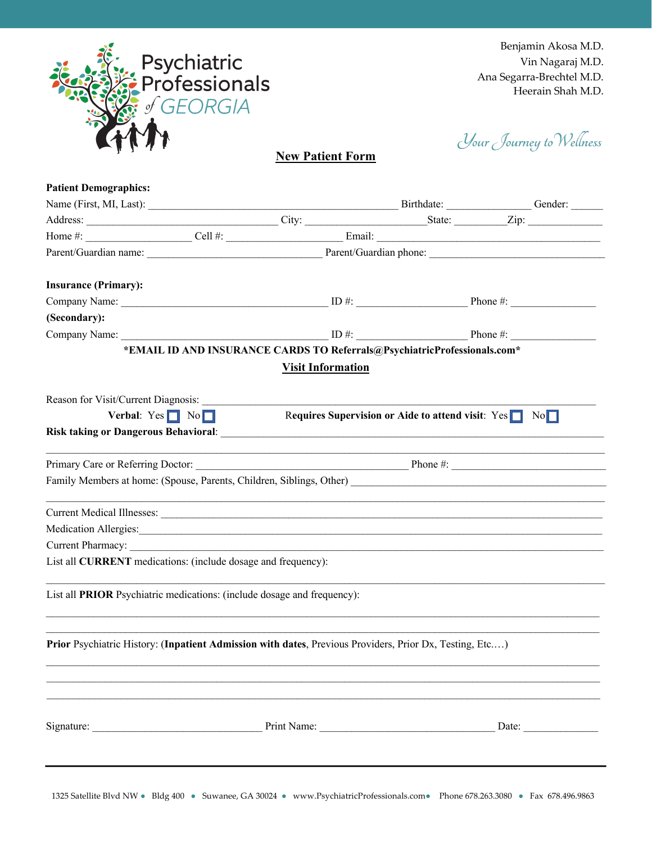

Your Journey to Wellness

**New Patient Form**

| <b>Patient Demographics:</b>                                                                                                                                                                                                  |                                       |                          |                                                                          |                       |
|-------------------------------------------------------------------------------------------------------------------------------------------------------------------------------------------------------------------------------|---------------------------------------|--------------------------|--------------------------------------------------------------------------|-----------------------|
|                                                                                                                                                                                                                               |                                       |                          |                                                                          |                       |
|                                                                                                                                                                                                                               |                                       |                          |                                                                          |                       |
|                                                                                                                                                                                                                               |                                       |                          |                                                                          |                       |
|                                                                                                                                                                                                                               |                                       |                          |                                                                          |                       |
| <b>Insurance (Primary):</b>                                                                                                                                                                                                   |                                       |                          |                                                                          |                       |
|                                                                                                                                                                                                                               |                                       |                          |                                                                          |                       |
| (Secondary):                                                                                                                                                                                                                  |                                       |                          |                                                                          |                       |
|                                                                                                                                                                                                                               |                                       |                          |                                                                          |                       |
|                                                                                                                                                                                                                               |                                       |                          | *EMAIL ID AND INSURANCE CARDS TO Referrals@PsychiatricProfessionals.com* |                       |
|                                                                                                                                                                                                                               |                                       | <b>Visit Information</b> |                                                                          |                       |
|                                                                                                                                                                                                                               |                                       |                          |                                                                          |                       |
|                                                                                                                                                                                                                               | Verbal: $Yes \fbox{ No } \fbox{ No }$ |                          | Requires Supervision or Aide to attend visit: $Yes \Box No \Box$         |                       |
|                                                                                                                                                                                                                               |                                       |                          |                                                                          |                       |
|                                                                                                                                                                                                                               |                                       |                          |                                                                          |                       |
| Family Members at home: (Spouse, Parents, Children, Siblings, Other) [19] Members at home: (Spouse, Parents, Children, Siblings, Other)                                                                                       |                                       |                          |                                                                          |                       |
|                                                                                                                                                                                                                               |                                       |                          |                                                                          |                       |
| Medication Allergies: New York: New York: New York: New York: New York: New York: New York: New York: New York: New York: New York: New York: New York: New York: New York: New York: New York: New York: New York: New York: |                                       |                          |                                                                          |                       |
|                                                                                                                                                                                                                               |                                       |                          |                                                                          |                       |
| List all CURRENT medications: (include dosage and frequency):                                                                                                                                                                 |                                       |                          |                                                                          |                       |
| List all PRIOR Psychiatric medications: (include dosage and frequency):                                                                                                                                                       |                                       |                          |                                                                          |                       |
| Prior Psychiatric History: (Inpatient Admission with dates, Previous Providers, Prior Dx, Testing, Etc)                                                                                                                       |                                       |                          |                                                                          |                       |
|                                                                                                                                                                                                                               |                                       |                          |                                                                          |                       |
|                                                                                                                                                                                                                               |                                       |                          | Print Name:                                                              | Date: $\qquad \qquad$ |
|                                                                                                                                                                                                                               |                                       |                          |                                                                          |                       |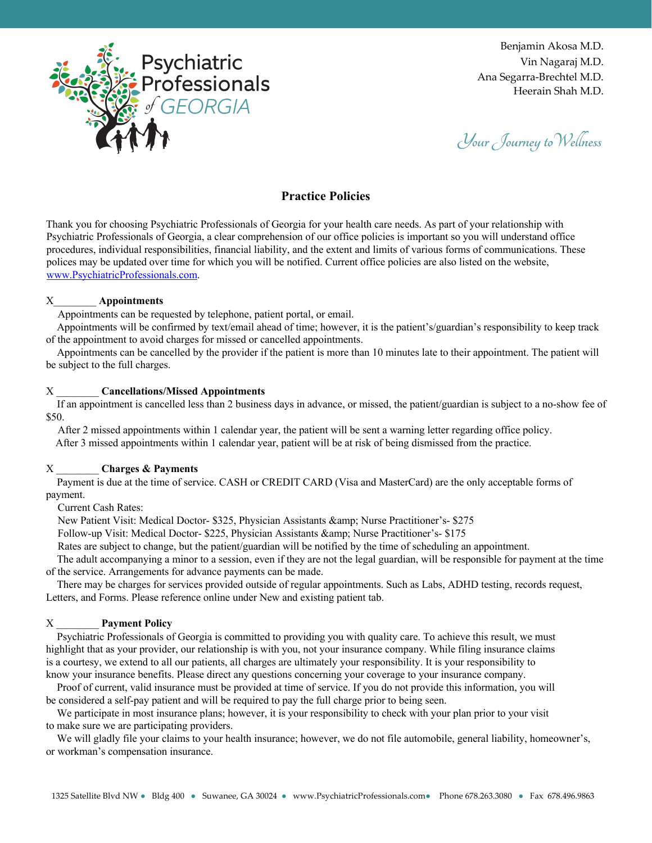

Your Journey to Wellness

# **Practice Policies**

Thank you for choosing Psychiatric Professionals of Georgia for your health care needs. As part of your relationship with Psychiatric Professionals of Georgia, a clear comprehension of our office policies is important so you will understand office procedures, individual responsibilities, financial liability, and the extent and limits of various forms of communications. These polices may be updated over time for which you will be notified. Current office policies are also listed on the website, www.PsychiatricProfessionals.com.

#### X\_\_\_\_\_\_\_\_ **Appointments**

Appointments can be requested by telephone, patient portal, or email.

Appointments will be confirmed by text/email ahead of time; however, it is the patient's/guardian's responsibility to keep track of the appointment to avoid charges for missed or cancelled appointments.

Appointments can be cancelled by the provider if the patient is more than 10 minutes late to their appointment. The patient will be subject to the full charges.

# X \_\_\_\_\_\_\_\_ **Cancellations/Missed Appointments**

If an appointment is cancelled less than 2 business days in advance, or missed, the patient/guardian is subject to a no-show fee of \$50.

After 2 missed appointments within 1 calendar year, the patient will be sent a warning letter regarding office policy. After 3 missed appointments within 1 calendar year, patient will be at risk of being dismissed from the practice.

# X \_\_\_\_\_\_\_\_ **Charges & Payments**

Payment is due at the time of service. CASH or CREDIT CARD (Visa and MasterCard) are the only acceptable forms of payment.

Current Cash Rates:

New Patient Visit: Medical Doctor- \$325, Physician Assistants & amp; Nurse Practitioner's- \$275

Follow-up Visit: Medical Doctor- \$225, Physician Assistants & amp; Nurse Practitioner's- \$175

Rates are subject to change, but the patient/guardian will be notified by the time of scheduling an appointment.

The adult accompanying a minor to a session, even if they are not the legal guardian, will be responsible for payment at the time of the service. Arrangements for advance payments can be made.

There may be charges for services provided outside of regular appointments. Such as Labs, ADHD testing, records request, Letters, and Forms. Please reference online under New and existing patient tab.

# X \_\_\_\_\_\_\_\_ **Payment Policy**

Psychiatric Professionals of Georgia is committed to providing you with quality care. To achieve this result, we must highlight that as your provider, our relationship is with you, not your insurance company. While filing insurance claims is a courtesy, we extend to all our patients, all charges are ultimately your responsibility. It is your responsibility to know your insurance benefits. Please direct any questions concerning your coverage to your insurance company.

Proof of current, valid insurance must be provided at time of service. If you do not provide this information, you will be considered a self-pay patient and will be required to pay the full charge prior to being seen.

We participate in most insurance plans; however, it is your responsibility to check with your plan prior to your visit to make sure we are participating providers.

We will gladly file your claims to your health insurance; however, we do not file automobile, general liability, homeowner's, or workman's compensation insurance.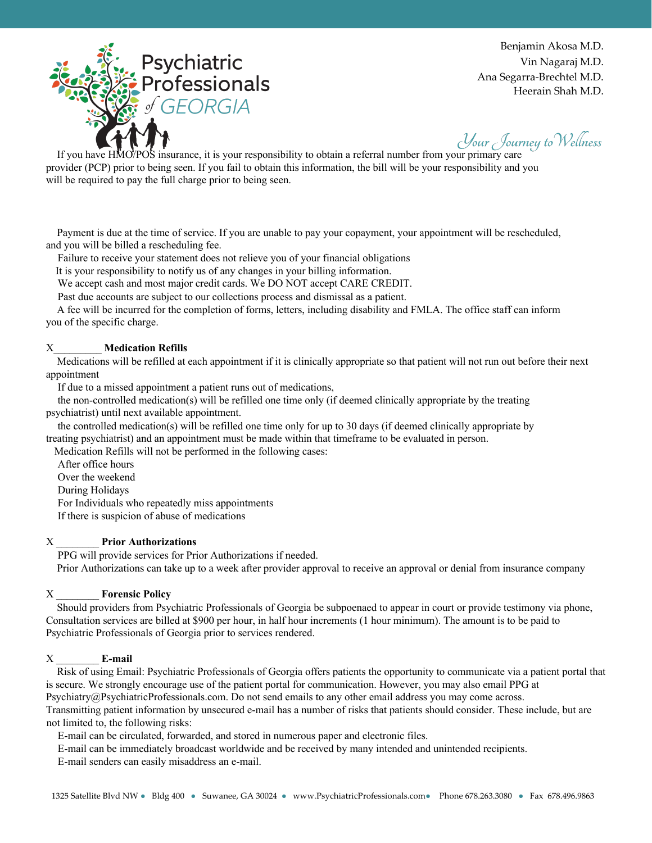

Your Journey to Wellness

If you have HMO/POS insurance, it is your responsibility to obtain a referral number from your primary care provider (PCP) prior to being seen. If you fail to obtain this information, the bill will be your responsibility and you will be required to pay the full charge prior to being seen.

Payment is due at the time of service. If you are unable to pay your copayment, your appointment will be rescheduled, and you will be billed a rescheduling fee.

Failure to receive your statement does not relieve you of your financial obligations

It is your responsibility to notify us of any changes in your billing information.

We accept cash and most major credit cards. We DO NOT accept CARE CREDIT.

Past due accounts are subject to our collections process and dismissal as a patient.

A fee will be incurred for the completion of forms, letters, including disability and FMLA. The office staff can inform you of the specific charge.

# X\_\_\_\_\_\_\_\_\_ **Medication Refills**

Medications will be refilled at each appointment if it is clinically appropriate so that patient will not run out before their next appointment

If due to a missed appointment a patient runs out of medications,

the non-controlled medication(s) will be refilled one time only (if deemed clinically appropriate by the treating psychiatrist) until next available appointment.

the controlled medication(s) will be refilled one time only for up to 30 days (if deemed clinically appropriate by treating psychiatrist) and an appointment must be made within that timeframe to be evaluated in person.

Medication Refills will not be performed in the following cases:

After office hours

Over the weekend

During Holidays

For Individuals who repeatedly miss appointments

If there is suspicion of abuse of medications

#### X \_\_\_\_\_\_\_\_ **Prior Authorizations**

PPG will provide services for Prior Authorizations if needed.

Prior Authorizations can take up to a week after provider approval to receive an approval or denial from insurance company

### X \_\_\_\_\_\_\_\_ **Forensic Policy**

Should providers from Psychiatric Professionals of Georgia be subpoenaed to appear in court or provide testimony via phone, Consultation services are billed at \$900 per hour, in half hour increments (1 hour minimum). The amount is to be paid to Psychiatric Professionals of Georgia prior to services rendered.

#### X \_\_\_\_\_\_\_\_ **E-mail**

Risk of using Email: Psychiatric Professionals of Georgia offers patients the opportunity to communicate via a patient portal that is secure. We strongly encourage use of the patient portal for communication. However, you may also email PPG at Psychiatry@PsychiatricProfessionals.com. Do not send emails to any other email address you may come across. Transmitting patient information by unsecured e-mail has a number of risks that patients should consider. These include, but are not limited to, the following risks:

E-mail can be circulated, forwarded, and stored in numerous paper and electronic files.

E-mail can be immediately broadcast worldwide and be received by many intended and unintended recipients.

E-mail senders can easily misaddress an e-mail.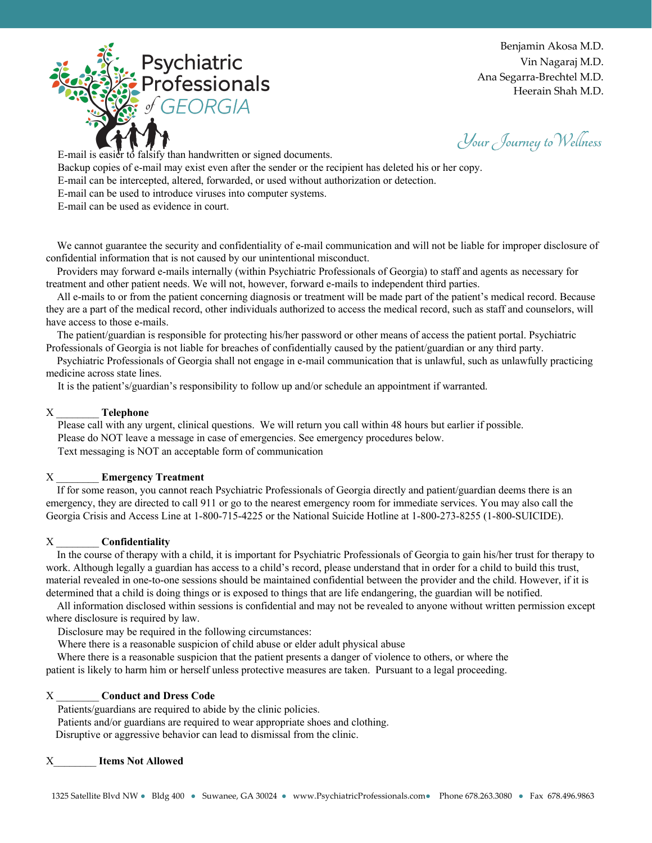

Your Journey to Wellness

E-mail is easier to falsify than handwritten or signed documents.

Backup copies of e-mail may exist even after the sender or the recipient has deleted his or her copy.

E-mail can be intercepted, altered, forwarded, or used without authorization or detection.

E-mail can be used to introduce viruses into computer systems.

E-mail can be used as evidence in court.

We cannot guarantee the security and confidentiality of e-mail communication and will not be liable for improper disclosure of confidential information that is not caused by our unintentional misconduct.

Providers may forward e-mails internally (within Psychiatric Professionals of Georgia) to staff and agents as necessary for treatment and other patient needs. We will not, however, forward e-mails to independent third parties.

All e-mails to or from the patient concerning diagnosis or treatment will be made part of the patient's medical record. Because they are a part of the medical record, other individuals authorized to access the medical record, such as staff and counselors, will have access to those e-mails.

The patient/guardian is responsible for protecting his/her password or other means of access the patient portal. Psychiatric Professionals of Georgia is not liable for breaches of confidentially caused by the patient/guardian or any third party.

Psychiatric Professionals of Georgia shall not engage in e-mail communication that is unlawful, such as unlawfully practicing medicine across state lines.

It is the patient's/guardian's responsibility to follow up and/or schedule an appointment if warranted.

#### X \_\_\_\_\_\_\_\_ **Telephone**

Please call with any urgent, clinical questions. We will return you call within 48 hours but earlier if possible. Please do NOT leave a message in case of emergencies. See emergency procedures below. Text messaging is NOT an acceptable form of communication

# X \_\_\_\_\_\_\_\_ **Emergency Treatment**

If for some reason, you cannot reach Psychiatric Professionals of Georgia directly and patient/guardian deems there is an emergency, they are directed to call 911 or go to the nearest emergency room for immediate services. You may also call the Georgia Crisis and Access Line at 1-800-715-4225 or the National Suicide Hotline at 1-800-273-8255 (1-800-SUICIDE).

# X \_\_\_\_\_\_\_\_ **Confidentiality**

In the course of therapy with a child, it is important for Psychiatric Professionals of Georgia to gain his/her trust for therapy to work. Although legally a guardian has access to a child's record, please understand that in order for a child to build this trust, material revealed in one-to-one sessions should be maintained confidential between the provider and the child. However, if it is determined that a child is doing things or is exposed to things that are life endangering, the guardian will be notified.

All information disclosed within sessions is confidential and may not be revealed to anyone without written permission except where disclosure is required by law.

Disclosure may be required in the following circumstances:

Where there is a reasonable suspicion of child abuse or elder adult physical abuse

Where there is a reasonable suspicion that the patient presents a danger of violence to others, or where the patient is likely to harm him or herself unless protective measures are taken. Pursuant to a legal proceeding.

# X \_\_\_\_\_\_\_\_ **Conduct and Dress Code**

Patients/guardians are required to abide by the clinic policies.

Patients and/or guardians are required to wear appropriate shoes and clothing.

Disruptive or aggressive behavior can lead to dismissal from the clinic.

# X\_\_\_\_\_\_\_\_ **Items Not Allowed**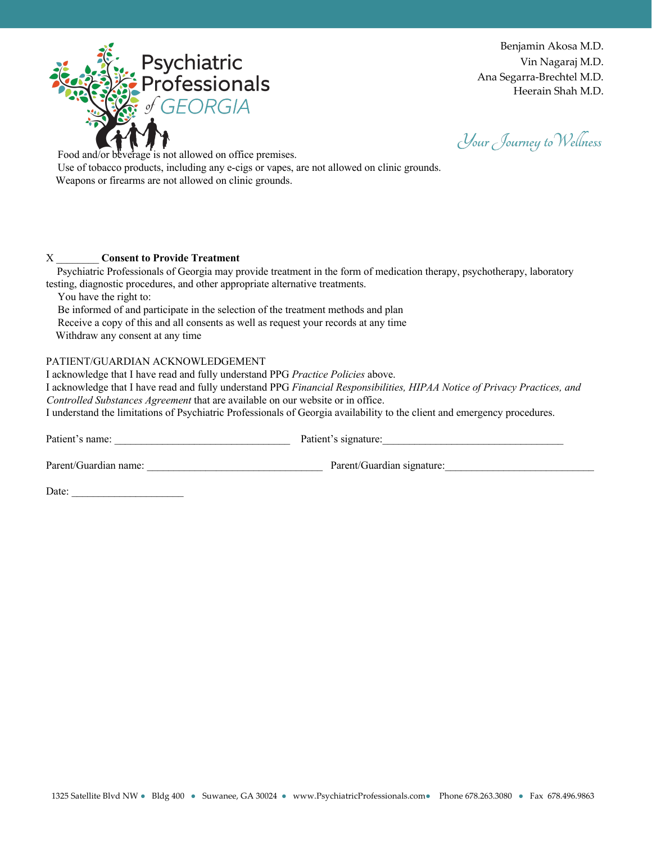

Your Journey to Wellness

Food and/or beverage is not allowed on office premises. Use of tobacco products, including any e-cigs or vapes, are not allowed on clinic grounds. Weapons or firearms are not allowed on clinic grounds.

# X \_\_\_\_\_\_\_\_ **Consent to Provide Treatment**

Psychiatric Professionals of Georgia may provide treatment in the form of medication therapy, psychotherapy, laboratory testing, diagnostic procedures, and other appropriate alternative treatments.

You have the right to:

Be informed of and participate in the selection of the treatment methods and plan

Receive a copy of this and all consents as well as request your records at any time

Withdraw any consent at any time

# PATIENT/GUARDIAN ACKNOWLEDGEMENT

I acknowledge that I have read and fully understand PPG *Practice Policies* above.

I acknowledge that I have read and fully understand PPG *Financial Responsibilities, HIPAA Notice of Privacy Practices, and Controlled Substances Agreement* that are available on our website or in office.

I understand the limitations of Psychiatric Professionals of Georgia availability to the client and emergency procedures.

Patient's name: \_\_\_\_\_\_\_\_\_\_\_\_\_\_\_\_\_\_\_\_\_\_\_\_\_\_\_\_\_\_\_\_\_ Patient's signature:\_\_\_\_\_\_\_\_\_\_\_\_\_\_\_\_\_\_\_\_\_\_\_\_\_\_\_\_\_\_\_\_\_\_

Parent/Guardian name: example and the Parent/Guardian signature:

Date: \_\_\_\_\_\_\_\_\_\_\_\_\_\_\_\_\_\_\_\_\_